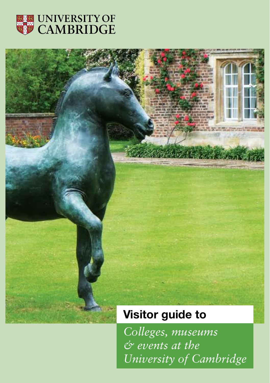

# **Visitor guide to**

*Colleges, museums & events at the University of Cambridge*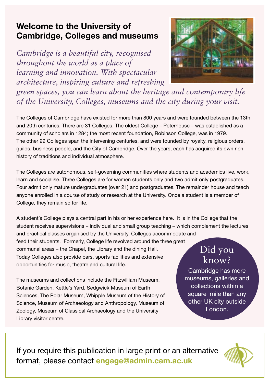## **Welcome to the University of Cambridge, Colleges and museums**

*Cambridge is a beautiful city, recognised throughout the world as a place of learning and innovation. With spectacular architecture, inspiring culture and refreshing* 



*green spaces, you can learn about the heritage and contemporary life of the University, Colleges, museums and the city during your visit.*

The Colleges of Cambridge have existed for more than 800 years and were founded between the 13th and 20th centuries. There are 31 Colleges. The oldest College – Peterhouse – was established as a community of scholars in 1284; the most recent foundation, Robinson College, was in 1979. The other 29 Colleges span the intervening centuries, and were founded by royalty, religious orders, guilds, business people, and the City of Cambridge. Over the years, each has acquired its own rich history of traditions and individual atmosphere.

The Colleges are autonomous, self-governing communities where students and academics live, work, learn and socialise. Three Colleges are for women students only and two admit only postgraduates. Four admit only mature undergraduates (over 21) and postgraduates. The remainder house and teach anyone enrolled in a course of study or research at the University. Once a student is a member of College, they remain so for life.

A student's College plays a central part in his or her experience here. It is in the College that the student receives supervisions – individual and small group teaching – which complement the lectures

and practical classes organised by the University. Colleges accommodate and feed their students. Formerly, College life revolved around the three great communal areas – the Chapel, the Library and the dining Hall. Today Colleges also provide bars, sports facilities and extensive opportunities for music, theatre and cultural life.

The museums and collections include the Fitzwilliam Museum, Botanic Garden, Kettle's Yard, Sedgwick Museum of Earth Sciences, The Polar Museum, Whipple Museum of the History of Science, Museum of Archaeology and Anthropology, Museum of Zoology, Museum of Classical Archaeology and the University Library visitor centre.

# Did you know?

Cambridge has more museums, galleries and collections within a square mile than any other UK city outside London.

If you require this publication in large print or an alternative format, please contact **engage@admin.cam.ac.uk**

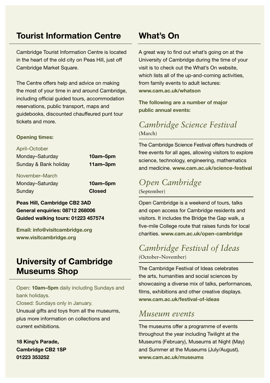### **Tourist Information Centre**

Cambridge Tourist Information Centre is located in the heart of the old city on Peas Hill, just off Cambridge Market Square.

The Centre offers help and advice on making the most of your time in and around Cambridge, including official guided tours, accommodation reservations, public transport, maps and guidebooks, discounted chauffeured punt tour tickets and more.

#### **Opening times:**

April–October Monday–Saturday **10am–5pm** Sunday & Bank holiday **11am–3pm**

November–March Monday–Saturday **10am–5pm** Sunday **Closed**

### **Peas Hill, Cambridge CB2 3AD General enquiries: 08712 268006 Guided walking tours: 01223 457574**

**Email: info@visitcambridge.org www.visitcambridge.org**

### **University of Cambridge Museums Shop**

Open: **10am–5pm** daily including Sundays and bank holidays.

Closed: Sundays only in January.

Unusual gifts and toys from all the museums, plus more information on collections and current exhibitions.

**18 King's Parade, Cambridge CB2 1SP 01223 353252**

### **What's On**

A great way to find out what's going on at the University of Cambridge during the time of your visit is to check out the What's On website, which lists all of the up-and-coming activities. from family events to adult lectures: **www.cam.ac.uk/whatson**

**The following are a number of major public annual events:** 

### *Cambridge Science Festival*  (March)

The Cambridge Science Festival offers hundreds of free events for all ages, allowing visitors to explore science, technology, engineering, mathematics and medicine. **www.cam.ac.uk/science-festival**

### *Open Cambridge*  (September)

Open Cambridge is a weekend of tours, talks and open access for Cambridge residents and visitors. It includes the Bridge the Gap walk, a five-mile College route that raises funds for local charities. **www.cam.ac.uk/open-cambridge**

### *Cambridge Festival of Ideas*  (October–November)

The Cambridge Festival of Ideas celebrates the arts, humanities and social sciences by showcasing a diverse mix of talks, performances, films, exhibitions and other creative displays. **www.cam.ac.uk/festival-of-ideas**

### *Museum events*

The museums offer a programme of events throughout the year including Twilight at the Museums (February), Museums at Night (May) and Summer at the Museums (July/August). **www.cam.ac.uk/museums**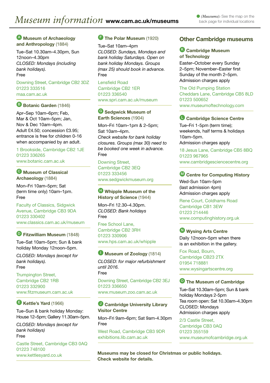#### <sup>A</sup> **Museum of Archaeology and Anthropology** (1884)

Tue–Sat 10.30am–4.30pm, Sun 12noon–4.30pm *CLOSED: Mondays (including bank holidays).* Free

Downing Street, Cambridge CB2 3DZ 01223 333516 <maa.cam.ac.uk>

#### Botanic Garden (1846)

Apr–Sep 10am–6pm; Feb, Mar & Oct 10am–5pm; Jan, Nov & Dec 10am–4pm. Adult £4.50; concession £3.95; entrance is free for children 0-16 when accompanied by an adult.

1 Brookside, Cambridge CB2 1JE 01223 336265 www.botanic.cam.ac.uk

<sup>C</sup> **Museum of Classical Archaeology** (1884)

Mon–Fri 10am–5pm; Sat (term time only) 10am–1pm. Free

Faculty of Classics, Sidgwick Avenue, Cambridge CB3 9DA 01223 330402 www.classics.cam.ac.uk/museum

<sup>D</sup> **Fitzwilliam Museum** (1848)

Tue–Sat 10am–5pm; Sun & bank holiday Monday 12noon–5pm.

*CLOSED: Mondays (except for bank holidays).*  Free

Trumpington Street, Cambridge CB2 1RB 01223 332900 www.fitzmuseum.cam.ac.uk

#### <sup>E</sup> **Kettle's Yard** (1966)

Tue–Sun & bank holiday Monday: House 12–5pm; Gallery 11.30am–5pm.

*CLOSED: Mondays (except for bank holidays)* Free

Castle Street, Cambridge CB3 0AQ 01223 748100 www.kettlesyard.co.uk

#### **The Polar Museum (1920)**

Tue–Sat 10am–4pm *CLOSED: Sundays, Mondays and bank holiday Saturdays. Open on bank holiday Mondays. Groups (max 25) should book in advance.* Free

Lensfield Road Cambridge CB2 1ER 01223 336540 www.spri.cam.ac.uk/museum

#### <sup>G</sup> **Sedgwick Museum of Earth Sciences** (1904)

Mon–Fri 10am–1pm & 2–5pm; Sat 10am–4pm. *Check website for bank holiday closures. Groups (max 30) need to be booked one week in advance.* Free

Downing Street, Cambridge CB2 3EQ 01223 333456 www.sedgwickmuseum.org

#### **H** Whipple Museum of the **History of Science** (1944)

Mon–Fri 12.30–4.30pm. *CLOSED: Bank holidays* Free

Free School Lane, Cambridge CB2 3RH 01223 330906 www.hps.cam.ac.uk/whipple

#### <sup>I</sup> **Museum of Zoology** (1814)

*CLOSED: for major refurbishment until 2016.* Free Downing Street, Cambridge CB2 3EJ

01223 336650 www.museum.zoo.cam.ac.uk

#### *O* Cambridge University Library **Visitor Centre**

Mon–Fri 9am–6pm; Sat 9am-4.30pm Free

West Road, Cambridge CB3 9DR <exhibitions.lib.cam.ac.uk>

#### **Other Cambridge museums**

#### <sup>K</sup> **Cambridge Museum of Technology**

Easter–October every Sunday 2–5pm; November–Easter first Sunday of the month 2–5pm. Admission charges apply

The Old Pumping Station Cheddars Lane, Cambridge CB5 8LD 01223 500652 www.museumoftechnology.com

#### <sup>L</sup> **Cambridge Science Centre**

Tue–Fri 1-5pm (term time); weekends, half terms & holidays 10am–5pm. Admission charges apply

18 Jesus Lane, Cambridge CB5 8BQ 01223 967965 www.cambridgesciencecentre.org

#### <sup>M</sup> **Centre for Computing History**

Wed-Sun 10am-5pm (last admission 4pm) Admission charges apply

Rene Court, Coldhams Road Cambridge CB1 3EW 01223 214446 www.computinghistory.org.uk

#### <sup>N</sup> **Wysing Arts Centre**

Daily 12noon–5pm when there is an exhibition in the gallery.

Fox Road, Bourn, Cambridge CB23 2TX 01954 718881 www.wysingartscentre.org

#### <sup>O</sup> **The Museum of Cambridge**

Tue–Sat 10.30am–5pm; Sun & bank holiday Mondays 2-5pm Tea room open: Sat 10.30am–4.30pm CLOSED: Mondays Admission charges apply

2/3 Castle Street,

Cambridge CB3 0AQ 01223 355159 www.museumofcambridge.org.uk

**Museums may be closed for Christmas or public holidays. Check website for details.**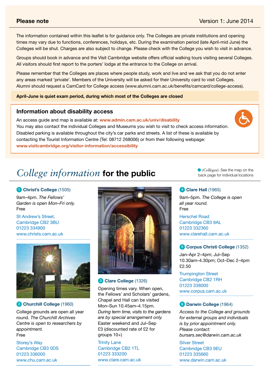The information contained within this leaflet is for guidance only. The Colleges are private institutions and opening times may vary due to functions, conferences, holidays, etc. During the examination period (late April-mid June) the Colleges will be shut. Charges are also subject to change. Please check with the College you wish to visit in advance.

Groups should book in advance and the Visit Cambridge website offers official walking tours visiting several Colleges. All visitors should first report to the porters' lodge at the entrance to the College on arrival.

Please remember that the Colleges are places where people study, work and live and we ask that you do not enter any areas marked 'private'. Members of the University will be asked for their University card to visit Colleges. Alumni should request a CamCard for College access (www.alumni.cam.ac.uk/benefits/camcard/college-access).

#### **April-June is quiet exam period, during which most of the Colleges are closed**

#### **Information about disability access**

An access guide and map is available at: **www.admin.cam.ac.uk/univ/disability** You may also contact the individual Colleges and Museums you wish to visit to check access information. Disabled parking is available throughout the city's car parks and streets. A list of these is available by contacting the Tourist Information Centre (Tel: 08712 268006) or from their following webpage: **www.visitcambridge.org/visitor-information/accessibility**

# *College information* **for the public**

#### 1 **Christ's College** (1505)

9am–4pm. *The Fellows' Garden is open Mon–Fri only.* Free

St Andrew's Street Cambridge CB<sub>2</sub> 3BU 01223 334900 www.christs.cam.ac.uk



#### 2 **Churchill College** (1960)

College grounds are open all year round. *The Churchill Archives Centre is open to researchers by appointment.* Free

Storey's Way Cambridge CB3 0DS 01223 336000 www.chu.cam.ac.uk



#### 3 **Clare College** (1326)

Opening times vary. When open, the Fellows' and Scholars' gardens, Chapel and Hall can be visited Mon–Sun 10.45am–4.15pm. *During term time, visits to the gardens are by special arrangement only.*  Easter weekend and Jul–Sep £3 (discounted rate of £2 for groups 10+)

Trinity Lane Cambridge CB<sub>2</sub> 1TL 01223 333200 www.clare.cam.ac.uk *(Colleges):* See the map on the back page for individual locations

#### 4 **Clare Hall** (1965)

9am–5pm. *The College is open all year round.* Free Herschel Road Cambridge CB3 9AL 01223 332360 www.clarehall.cam.ac.uk

#### 5 **Corpus Christi College** (1352)

Jan–Apr 2–4pm; Jul–Sep 10.30am–4.30pm; Oct–Dec 2–4pm £2.50

Trumpington Street Cambridge CB2 1RH 01223 338000 www.corpus.cam.ac.uk

#### 6 **Darwin College** (1964)

*Access to the College and grounds for external groups and individuals is by prior appointment only. Please contact: bursars.sec@darwin.cam.ac.uk*

Silver Street Cambridge CB3 9EU 01223 335660 www.darwin.cam.ac.uk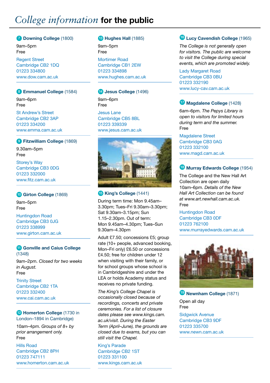# *College information* **for the public**

#### 7 **Downing College** (1800)

9am–5pm Free

Regent Street Cambridge CB2 1DQ 01223 334800 www.dow.cam.ac.uk

#### 8 **Emmanuel College** (1584)

9am–6pm Free

St Andrew's Street Cambridge CB2 3AP 01223 334200 www.emma.cam.ac.uk

#### 9 **Fitzwilliam College** (1869)

9.30am–5pm Free Storey's Way Cambridge CB3 0DG 01223 332000

www.fitz.cam.ac.uk

#### 10 **Girton College** (1869)

9am–5pm Free Huntingdon Road Cambridge CB3 0JG 01223 338999 www.girton.cam.ac.uk

#### **11 Gonville and Caius College** (1348)

9am–2pm. *Closed for two weeks in August.* Free

Trinity Street Cambridge CB2 1TA 01223 332400 www.cai.cam.ac.uk

#### 12 **Homerton College** (1730 in London–1894 in Cambridge)

10am–4pm. *Groups of 8+ by prior arrangement only.* Free

Hills Road Cambridge CB2 8PH 01223 747111 www.homerton.cam.ac.uk

#### 13 **Hughes Hall** (1885)

9am–5pm Free

Mortimer Road Cambridge CB1 2EW 01223 334898 www.hughes.cam.ac.uk

#### 14 **Jesus College** (1496)

9am–6pm Free

Jesus Lane Cambridge CB5 8BL 01223 339339 www.jesus.cam.ac.uk



#### 15 **King's College** (1441)

During term time: Mon 9.45am– 3.30pm; Tues–Fri 9.30am–3.30pm; Sat 9.30am–3.15pm; Sun 1.15–2.30pm. Out of term: Mon 9.45am–4.30pm; Tues–Sun 9.30am–4.30pm

Adult £7.50; concessions £5; group rate (10+ people, advanced booking, Mon–Fri only) £6.50 or concessions £4.50; free for children under 12 when visiting with their family, or for school groups whose school is in Cambridgeshire and under the LEA or holds Academy status and receives no private funding.

*The King's College Chapel is occasionally closed because of recordings, concerts and private ceremonies. For a list of closure dates please see www.kings.cam. ac.uk/visit. During the Easter Term (April–June), the grounds are closed due to exams, but you can still visit the Chapel.*

King's Parade Cambridge CB2 1ST 01223 331100 www.kings.cam.ac.uk

#### <sup>16</sup> **Lucy Cavendish College** (1965)

*The College is not generally open for visitors. The public are welcome to visit the College during special events, which are promoted widely.*

Lady Margaret Road Cambridge CB3 0BU 01223 332190 www.lucy-cav.cam.ac.uk

#### <sup>17</sup> **Magdalene College** (1428)

6am–6pm. *The Pepys Library is open to visitors for limited hours during term and the summer.*  Free

Magdalene Street Cambridge CB3 0AG 01223 332100 www.magd.cam.ac.uk

#### <sup>18</sup> **Murray Edwards College** (1954)

The College and the New Hall Art Collection are open daily 10am–6pm. *Details of the New Hall Art Collection can be found at www.art.newhall.cam.ac.uk.* Free

Huntingdon Road Cambridge CB3 0DF 01223 762100 www.murrayedwards.cam.ac.uk



<sup>19</sup> **Newnham College** (1871)

Open all day Free

Sidgwick Avenue Cambridge CB3 9DF 01223 335700 www.newn.cam.ac.uk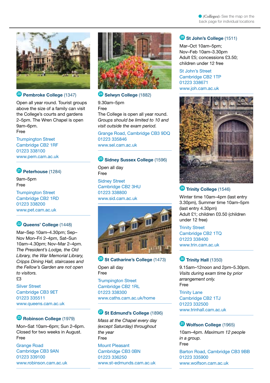

#### <sup>20</sup> **Pembroke College** (1347)

Open all year round. Tourist groups above the size of a family can visit the College's courts and gardens 2–5pm. The Wren Chapel is open 9am–6pm. Free

Trumpington Street Cambridge CB2 1RF 01223 338100 www.pem.cam.ac.uk

#### <sup>21</sup> **Peterhouse** (1284)

9am–5pm Free

Trumpington Street Cambridge CB2 1RD 01223 338200 www.pet.cam.ac.uk

### <sup>22</sup> **Queens' College** (1448)

Mar–Sep 10am–4.30pm; Sep– Nov Mon–Fri 2–4pm, Sat–Sun 10am–4.30pm; Nov–Mar 2–4pm. *The President's Lodge, the Old Library, the War Memorial Library, Cripps Dining Hall, staircases and the Fellow's Garden are not open to visitors.*   $53$ 

Silver Street Cambridge CB3 9ET 01223 335511 www.queens.cam.ac.uk

#### <sup>23</sup> **Robinson College** (1979)

Mon–Sat 10am–6pm; Sun 2–6pm. Closed for two weeks in August. Free

Grange Road Cambridge CB3 9AN 01223 339100 www.robinson.cam.ac.uk



### <sup>24</sup> **Selwyn College** (1882)

9.30am–5pm Free

The College is open all year round. *Groups should be limited to 10 and visit outside the exam period.*

Grange Road, Cambridge CB3 9DQ 01223 335846 www.sel.cam.ac.uk

#### **25** Sidney Sussex College (1596)

Open all day Free Sidney Street Cambridge CB2 3HU 01223 338800 www.sid.cam.ac.uk



#### <sup>26</sup> St Catharine's College (1473)

Open all day Free

Trumpington Street Cambridge CB2 1RL 01223 338300 www.caths.cam.ac.uk/home

#### <sup>27</sup> **St Edmund's College** (1896)

*Mass at the Chapel every day (except Saturday) throughout the year* Free

Mount Pleasant Cambridge CB3 0BN 01223 336250 www.st-edmunds.cam.ac.uk

#### <sup>28</sup> **St John's College** (1511)

Mar–Oct 10am–5pm; Nov–Feb 10am–3.30pm Adult £5; concessions £3.50; children under 12 free

St John's Street Cambridge CB2 1TP 01223 338671 www.joh.cam.ac.uk



#### **Trinity College (1546)**

Winter time 10am–4pm (last entry 3.30pm), Summer time 10am–5pm (last entry 4.30pm) Adult £1; children £0.50 (children under 12 free)

Trinity Street Cambridge CB2 1TQ 01223 338400 www.trin.cam.ac.uk

#### <sup>30</sup> **Trinity Hall** (1350)

9.15am–12noon and 2pm–5.30pm. *Visits during exam time by prior arrangement only.* Free

**Trinity Lane** Cambridge CB2 1TJ 01223 332500 www.trinhall.cam.ac.uk

#### <sup>31</sup> **Wolfson College** (1965)

10am–4pm. *Maximum 12 people in a group.* Free Barton Road, Cambridge CB3 9BB 01223 335900

www.wolfson.cam.ac.uk